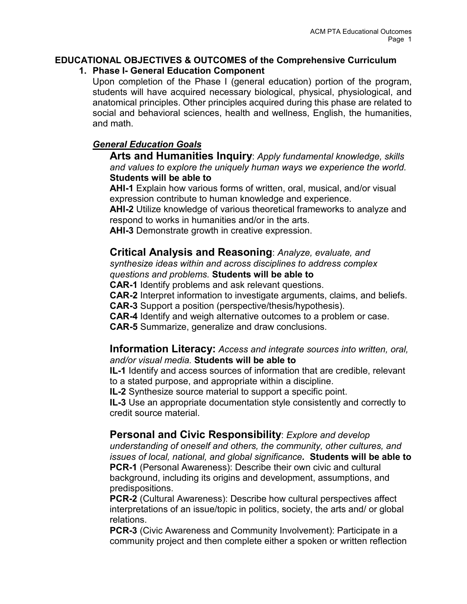# **EDUCATIONAL OBJECTIVES & OUTCOMES of the Comprehensive Curriculum**

### **1. Phase I- General Education Component**

Upon completion of the Phase I (general education) portion of the program, students will have acquired necessary biological, physical, physiological, and anatomical principles. Other principles acquired during this phase are related to social and behavioral sciences, health and wellness, English, the humanities, and math.

# *General Education Goals*

**Arts and Humanities Inquiry**: *Apply fundamental knowledge, skills and values to explore the uniquely human ways we experience the world.* **Students will be able to**

**AHI-1** Explain how various forms of written, oral, musical, and/or visual expression contribute to human knowledge and experience.

**AHI-2** Utilize knowledge of various theoretical frameworks to analyze and respond to works in humanities and/or in the arts.

**AHI-3** Demonstrate growth in creative expression.

# **Critical Analysis and Reasoning**: *Analyze, evaluate, and*

*synthesize ideas within and across disciplines to address complex questions and problems.* **Students will be able to**

**CAR-1** Identify problems and ask relevant questions.

**CAR-2** Interpret information to investigate arguments, claims, and beliefs.

**CAR-3** Support a position (perspective/thesis/hypothesis).

**CAR-4** Identify and weigh alternative outcomes to a problem or case.

**CAR-5** Summarize, generalize and draw conclusions.

## **Information Literacy:** *Access and integrate sources into written, oral, and/or visual media.* **Students will be able to**

**IL-1** Identify and access sources of information that are credible, relevant to a stated purpose, and appropriate within a discipline.

**IL-2** Synthesize source material to support a specific point.

**IL-3** Use an appropriate documentation style consistently and correctly to credit source material.

## **Personal and Civic Responsibility**: *Explore and develop*

*understanding of oneself and others, the community, other cultures, and issues of local, national, and global significance.* **Students will be able to PCR-1** (Personal Awareness): Describe their own civic and cultural background, including its origins and development, assumptions, and predispositions.

**PCR-2** (Cultural Awareness): Describe how cultural perspectives affect interpretations of an issue/topic in politics, society, the arts and/ or global relations.

**PCR-3** (Civic Awareness and Community Involvement): Participate in a community project and then complete either a spoken or written reflection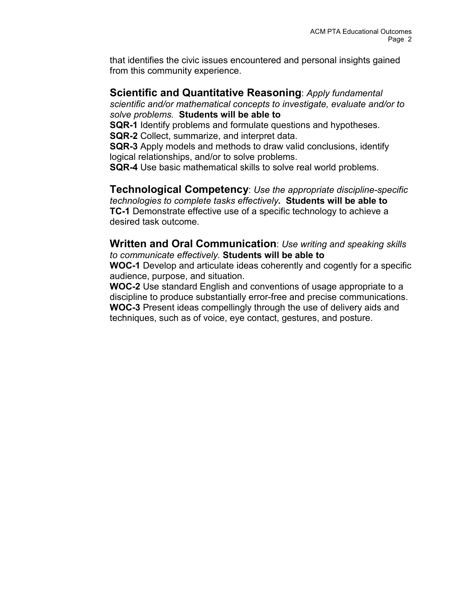that identifies the civic issues encountered and personal insights gained from this community experience.

## **Scientific and Quantitative Reasoning**: *Apply fundamental*

*scientific and/or mathematical concepts to investigate, evaluate and/or to solve problems.* **Students will be able to**

**SQR-1** Identify problems and formulate questions and hypotheses.

**SQR-2** Collect, summarize, and interpret data.

**SQR-3** Apply models and methods to draw valid conclusions, identify logical relationships, and/or to solve problems.

**SQR-4** Use basic mathematical skills to solve real world problems.

**Technological Competency**: *Use the appropriate discipline-specific technologies to complete tasks effectively.* **Students will be able to TC-1** Demonstrate effective use of a specific technology to achieve a desired task outcome.

**Written and Oral Communication**: *Use writing and speaking skills to communicate effectively.* **Students will be able to**

**WOC-1** Develop and articulate ideas coherently and cogently for a specific audience, purpose, and situation.

**WOC-2** Use standard English and conventions of usage appropriate to a discipline to produce substantially error-free and precise communications. **WOC-3** Present ideas compellingly through the use of delivery aids and techniques, such as of voice, eye contact, gestures, and posture.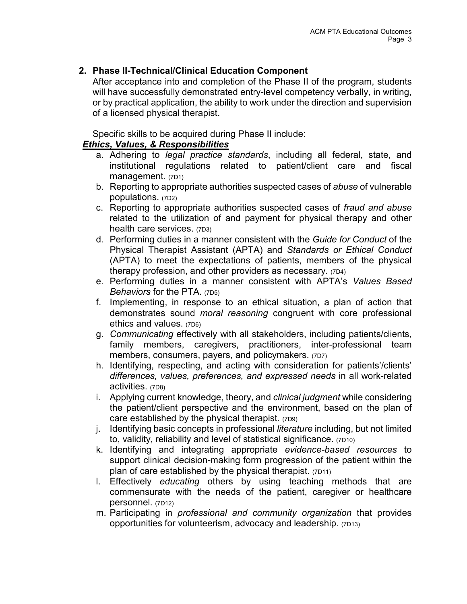## **2. Phase II-Technical/Clinical Education Component**

After acceptance into and completion of the Phase II of the program, students will have successfully demonstrated entry-level competency verbally, in writing, or by practical application, the ability to work under the direction and supervision of a licensed physical therapist.

Specific skills to be acquired during Phase II include:

#### *Ethics, Values, & Responsibilities*

- a. Adhering to *legal practice standards*, including all federal, state, and institutional regulations related to patient/client care and fiscal management. (7D1)
- b. Reporting to appropriate authorities suspected cases of *abuse* of vulnerable populations. (7D2)
- c. Reporting to appropriate authorities suspected cases of *fraud and abuse* related to the utilization of and payment for physical therapy and other health care services. (7D3)
- d. Performing duties in a manner consistent with the *Guide for Conduct* of the Physical Therapist Assistant (APTA) and *Standards or Ethical Conduct* (APTA) to meet the expectations of patients, members of the physical therapy profession, and other providers as necessary. (7D4)
- e. Performing duties in a manner consistent with APTA's *Values Based Behaviors* for the PTA. (7D5)
- f. Implementing, in response to an ethical situation, a plan of action that demonstrates sound *moral reasoning* congruent with core professional ethics and values. (7D6)
- g. *Communicating* effectively with all stakeholders, including patients/clients, family members, caregivers, practitioners, inter-professional team members, consumers, payers, and policymakers. (7D7)
- h. Identifying, respecting, and acting with consideration for patients'/clients' *differences, values, preferences, and expressed needs* in all work-related activities. (7D8)
- i. Applying current knowledge, theory, and *clinical judgment* while considering the patient/client perspective and the environment, based on the plan of care established by the physical therapist. (7D9)
- j. Identifying basic concepts in professional *literature* including, but not limited to, validity, reliability and level of statistical significance. (7D10)
- k. Identifying and integrating appropriate *evidence-based resources* to support clinical decision-making form progression of the patient within the plan of care established by the physical therapist. (7D11)
- l. Effectively *educating* others by using teaching methods that are commensurate with the needs of the patient, caregiver or healthcare personnel. (7D12)
- m. Participating in *professional and community organization* that provides opportunities for volunteerism, advocacy and leadership. (7D13)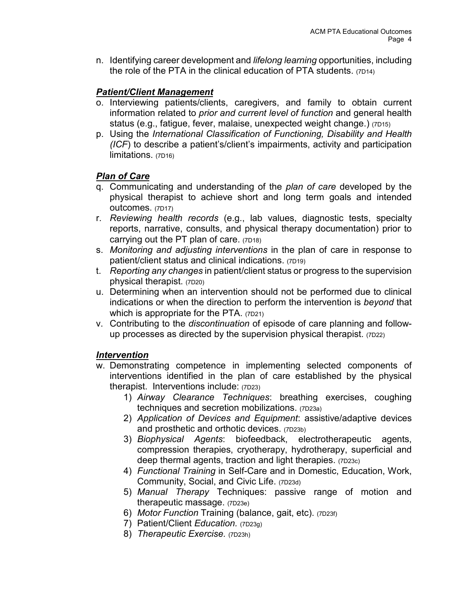n. Identifying career development and *lifelong learning* opportunities, including the role of the PTA in the clinical education of PTA students. (7D14)

## *Patient/Client Management*

- o. Interviewing patients/clients, caregivers, and family to obtain current information related to *prior and current level of function* and general health status (e.g., fatigue, fever, malaise, unexpected weight change.) (7D15)
- p. Using the *International Classification of Functioning, Disability and Health (ICF*) to describe a patient's/client's impairments, activity and participation limitations. (7D16)

## *Plan of Care*

- q. Communicating and understanding of the *plan of care* developed by the physical therapist to achieve short and long term goals and intended outcomes. (7D17)
- r. *Reviewing health records* (e.g., lab values, diagnostic tests, specialty reports, narrative, consults, and physical therapy documentation) prior to carrying out the PT plan of care. (7D18)
- s. *Monitoring and adjusting interventions* in the plan of care in response to patient/client status and clinical indications. (7D19)
- t. *Reporting any changes* in patient/client status or progress to the supervision physical therapist. (7D20)
- u. Determining when an intervention should not be performed due to clinical indications or when the direction to perform the intervention is *beyond* that which is appropriate for the PTA. (7D21)
- v. Contributing to the *discontinuation* of episode of care planning and followup processes as directed by the supervision physical therapist. (7D22)

## *Intervention*

- w. Demonstrating competence in implementing selected components of interventions identified in the plan of care established by the physical therapist. Interventions include: (7D23)
	- 1) *Airway Clearance Techniques*: breathing exercises, coughing techniques and secretion mobilizations. (7D23a)
	- 2) *Application of Devices and Equipment*: assistive/adaptive devices and prosthetic and orthotic devices. (7D23b)
	- 3) *Biophysical Agents*: biofeedback, electrotherapeutic agents, compression therapies, cryotherapy, hydrotherapy, superficial and deep thermal agents, traction and light therapies. (7D23c)
	- 4) *Functional Training* in Self-Care and in Domestic, Education, Work, Community, Social, and Civic Life. (7D23d)
	- 5) *Manual Therapy* Techniques: passive range of motion and therapeutic massage. (7D23e)
	- 6) *Motor Function* Training (balance, gait, etc). (7D23f)
	- 7) Patient/Client *Education.* (7D23g)
	- 8) *Therapeutic Exercise.* (7D23h)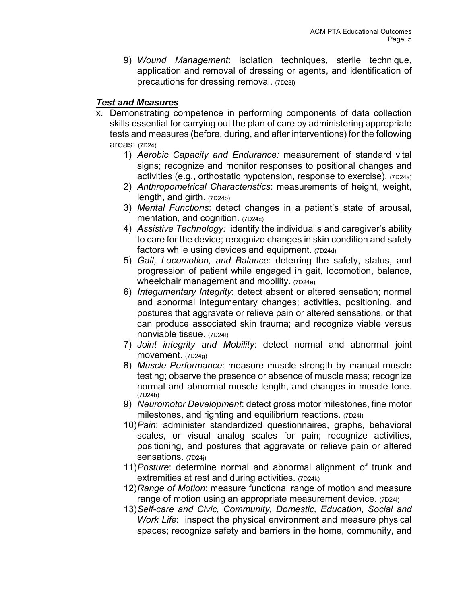9) *Wound Management*: isolation techniques, sterile technique, application and removal of dressing or agents, and identification of precautions for dressing removal. (7D23i)

## *Test and Measures*

- x. Demonstrating competence in performing components of data collection skills essential for carrying out the plan of care by administering appropriate tests and measures (before, during, and after interventions) for the following areas: (7D24)
	- 1) *Aerobic Capacity and Endurance:* measurement of standard vital signs; recognize and monitor responses to positional changes and activities (e.g., orthostatic hypotension, response to exercise). (7D24a)
	- 2) *Anthropometrical Characteristics*: measurements of height, weight, length, and girth. (7D24b)
	- 3) *Mental Functions*: detect changes in a patient's state of arousal, mentation, and cognition. (7D24c)
	- 4) *Assistive Technology:* identify the individual's and caregiver's ability to care for the device; recognize changes in skin condition and safety factors while using devices and equipment. (7D24d)
	- 5) *Gait, Locomotion, and Balance*: deterring the safety, status, and progression of patient while engaged in gait, locomotion, balance, wheelchair management and mobility. (7D24e)
	- 6) *Integumentary Integrity*: detect absent or altered sensation; normal and abnormal integumentary changes; activities, positioning, and postures that aggravate or relieve pain or altered sensations, or that can produce associated skin trauma; and recognize viable versus nonviable tissue. (7D24f)
	- 7) *Joint integrity and Mobility*: detect normal and abnormal joint movement. (7D24g)
	- 8) *Muscle Performance*: measure muscle strength by manual muscle testing; observe the presence or absence of muscle mass; recognize normal and abnormal muscle length, and changes in muscle tone. (7D24h)
	- 9) *Neuromotor Development*: detect gross motor milestones, fine motor milestones, and righting and equilibrium reactions. (7D24i)
	- 10)*Pain*: administer standardized questionnaires, graphs, behavioral scales, or visual analog scales for pain; recognize activities, positioning, and postures that aggravate or relieve pain or altered sensations. (7D24j)
	- 11)*Posture*: determine normal and abnormal alignment of trunk and extremities at rest and during activities. (7D24k)
	- 12)*Range of Motion*: measure functional range of motion and measure range of motion using an appropriate measurement device. (7D24I)
	- 13)*Self-care and Civic, Community, Domestic, Education, Social and Work Life*: inspect the physical environment and measure physical spaces; recognize safety and barriers in the home, community, and